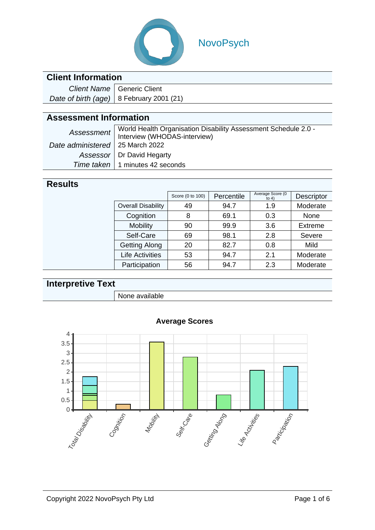

# NovoPsych

### **Client Information**

| Client Name   Generic Client               |
|--------------------------------------------|
| Date of birth (age)   8 February 2001 (21) |

### **Assessment Information**

|                                   | Assessment   World Health Organisation Disability Assessment Schedule 2.0 -<br>Interview (WHODAS-interview) |
|-----------------------------------|-------------------------------------------------------------------------------------------------------------|
| Date administered   25 March 2022 |                                                                                                             |
|                                   | Assessor   Dr David Hegarty                                                                                 |
|                                   | Time taken   1 minutes 42 seconds                                                                           |

#### **Results**

|                           | Score (0 to 100) | Percentile | Average Score (0<br>to $4)$ | Descriptor |
|---------------------------|------------------|------------|-----------------------------|------------|
| <b>Overall Disability</b> | 49               | 94.7       | 1.9                         | Moderate   |
| Cognition                 | 8                | 69.1       | 0.3                         | None       |
| <b>Mobility</b>           | 90               | 99.9       | 3.6                         | Extreme    |
| Self-Care                 | 69               | 98.1       | 2.8                         | Severe     |
| <b>Getting Along</b>      | 20               | 82.7       | 0.8                         | Mild       |
| <b>Life Activities</b>    | 53               | 94.7       | 2.1                         | Moderate   |
| Participation             | 56               | 94.7       | 2.3                         | Moderate   |

## **Interpretive Text**

None available



#### **Average Scores**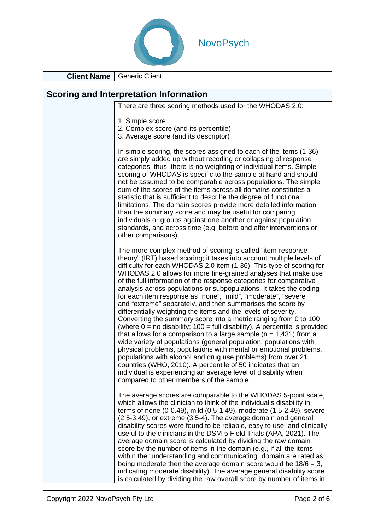

**Client Name** Generic Client

| <b>Scoring and Interpretation Information</b>                                                                                                                                                                                                                                                                                                                                                                                                                                                                                                                                                                                                                                                                                                                                                                                                                                                                                                                                                                                                                                                                                                                                                                                                     |
|---------------------------------------------------------------------------------------------------------------------------------------------------------------------------------------------------------------------------------------------------------------------------------------------------------------------------------------------------------------------------------------------------------------------------------------------------------------------------------------------------------------------------------------------------------------------------------------------------------------------------------------------------------------------------------------------------------------------------------------------------------------------------------------------------------------------------------------------------------------------------------------------------------------------------------------------------------------------------------------------------------------------------------------------------------------------------------------------------------------------------------------------------------------------------------------------------------------------------------------------------|
| There are three scoring methods used for the WHODAS 2.0:                                                                                                                                                                                                                                                                                                                                                                                                                                                                                                                                                                                                                                                                                                                                                                                                                                                                                                                                                                                                                                                                                                                                                                                          |
| 1. Simple score<br>2. Complex score (and its percentile)<br>3. Average score (and its descriptor)                                                                                                                                                                                                                                                                                                                                                                                                                                                                                                                                                                                                                                                                                                                                                                                                                                                                                                                                                                                                                                                                                                                                                 |
| In simple scoring, the scores assigned to each of the items (1-36)<br>are simply added up without recoding or collapsing of response<br>categories; thus, there is no weighting of individual items. Simple<br>scoring of WHODAS is specific to the sample at hand and should<br>not be assumed to be comparable across populations. The simple<br>sum of the scores of the items across all domains constitutes a<br>statistic that is sufficient to describe the degree of functional<br>limitations. The domain scores provide more detailed information<br>than the summary score and may be useful for comparing<br>individuals or groups against one another or against population<br>standards, and across time (e.g. before and after interventions or<br>other comparisons).                                                                                                                                                                                                                                                                                                                                                                                                                                                             |
| The more complex method of scoring is called "item-response-<br>theory" (IRT) based scoring; it takes into account multiple levels of<br>difficulty for each WHODAS 2.0 item (1-36). This type of scoring for<br>WHODAS 2.0 allows for more fine-grained analyses that make use<br>of the full information of the response categories for comparative<br>analysis across populations or subpopulations. It takes the coding<br>for each item response as "none", "mild", "moderate", "severe"<br>and "extreme" separately, and then summarises the score by<br>differentially weighting the items and the levels of severity.<br>Converting the summary score into a metric ranging from 0 to 100<br>(where $0 =$ no disability; 100 = full disability). A percentile is provided<br>that allows for a comparison to a large sample ( $n = 1,431$ ) from a<br>wide variety of populations (general population, populations with<br>physical problems, populations with mental or emotional problems,<br>populations with alcohol and drug use problems) from over 21<br>countries (WHO, 2010). A percentile of 50 indicates that an<br>individual is experiencing an average level of disability when<br>compared to other members of the sample. |
| The average scores are comparable to the WHODAS 5-point scale,<br>which allows the clinician to think of the individual's disability in<br>terms of none (0-0.49), mild (0.5-1.49), moderate (1.5-2.49), severe<br>(2.5-3.49), or extreme (3.5-4). The average domain and general<br>disability scores were found to be reliable, easy to use, and clinically<br>useful to the clinicians in the DSM-5 Field Trials (APA, 2021). The<br>average domain score is calculated by dividing the raw domain<br>score by the number of items in the domain (e.g., if all the items<br>within the "understanding and communicating" domain are rated as<br>being moderate then the average domain score would be $18/6 = 3$ ,<br>indicating moderate disability). The average general disability score<br>is calculated by dividing the raw overall score by number of items in                                                                                                                                                                                                                                                                                                                                                                           |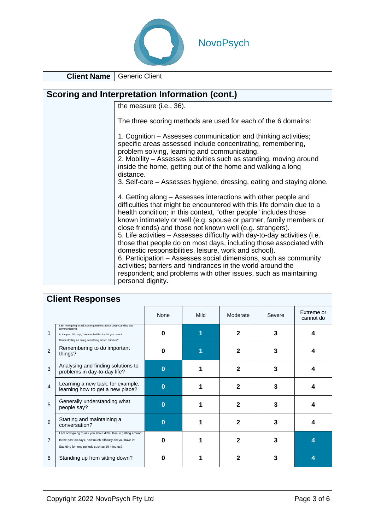

**Client Name** Generic Client

| Scoring and Interpretation Information (cont.)                                                                                                                                                                                                                                                                                                                                                                                                                                                                                                                                                                                                                                                                                                                                         |  |  |  |  |
|----------------------------------------------------------------------------------------------------------------------------------------------------------------------------------------------------------------------------------------------------------------------------------------------------------------------------------------------------------------------------------------------------------------------------------------------------------------------------------------------------------------------------------------------------------------------------------------------------------------------------------------------------------------------------------------------------------------------------------------------------------------------------------------|--|--|--|--|
| the measure (i.e., 36).                                                                                                                                                                                                                                                                                                                                                                                                                                                                                                                                                                                                                                                                                                                                                                |  |  |  |  |
| The three scoring methods are used for each of the 6 domains:                                                                                                                                                                                                                                                                                                                                                                                                                                                                                                                                                                                                                                                                                                                          |  |  |  |  |
| 1. Cognition – Assesses communication and thinking activities;<br>specific areas assessed include concentrating, remembering,<br>problem solving, learning and communicating.<br>2. Mobility – Assesses activities such as standing, moving around<br>inside the home, getting out of the home and walking a long<br>distance.<br>3. Self-care – Assesses hygiene, dressing, eating and staying alone.                                                                                                                                                                                                                                                                                                                                                                                 |  |  |  |  |
| 4. Getting along – Assesses interactions with other people and<br>difficulties that might be encountered with this life domain due to a<br>health condition; in this context, "other people" includes those<br>known intimately or well (e.g. spouse or partner, family members or<br>close friends) and those not known well (e.g. strangers).<br>5. Life activities – Assesses difficulty with day-to-day activities (i.e.<br>those that people do on most days, including those associated with<br>domestic responsibilities, leisure, work and school).<br>6. Participation – Assesses social dimensions, such as community<br>activities; barriers and hindrances in the world around the<br>respondent; and problems with other issues, such as maintaining<br>personal dignity. |  |  |  |  |

|                |                                                                                                                                                                                                  | None         | Mild | Moderate | Severe | Extreme or<br>cannot do |
|----------------|--------------------------------------------------------------------------------------------------------------------------------------------------------------------------------------------------|--------------|------|----------|--------|-------------------------|
| 1              | I am now going to ask some questions about understanding and<br>communicating.<br>In the past 30 days, how much difficulty did you have in:<br>Concentrating on doing something for ten minutes? | 0            |      | 2        | 3      | Δ                       |
| $\overline{2}$ | Remembering to do important<br>things?                                                                                                                                                           | 0            |      | 2        | 3      |                         |
| 3              | Analysing and finding solutions to<br>problems in day-to-day life?                                                                                                                               | $\mathbf{0}$ |      | 2        | 3      |                         |
| 4              | Learning a new task, for example,<br>learning how to get a new place?                                                                                                                            | $\bf{0}$     |      | 2        | 3      |                         |
| 5              | Generally understanding what<br>people say?                                                                                                                                                      | $\bf{0}$     |      | 2        | 3      | Δ                       |
| 6              | Starting and maintaining a<br>conversation?                                                                                                                                                      | $\bf{0}$     |      | 2        |        | 4                       |
| $\overline{7}$ | I am now going to ask you about difficulties in getting around.<br>In the past 30 days, how much difficulty did you have in:<br>Standing for long periods such as 30 minutes?                    | O            |      | 2        |        |                         |
| 8              | Standing up from sitting down?                                                                                                                                                                   | O            |      | 2        |        |                         |

## **Client Responses**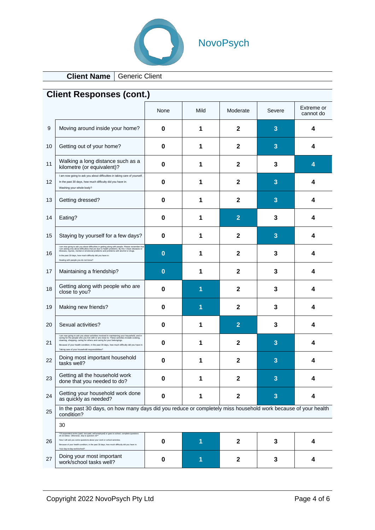

# NovoPsych

**Client Name** Generic Client

| <b>Client Responses (cont.)</b> |                                                                                                                                                                                                                                                                                                                                                                                                                 |             |      |                |        |                         |
|---------------------------------|-----------------------------------------------------------------------------------------------------------------------------------------------------------------------------------------------------------------------------------------------------------------------------------------------------------------------------------------------------------------------------------------------------------------|-------------|------|----------------|--------|-------------------------|
|                                 |                                                                                                                                                                                                                                                                                                                                                                                                                 | None        | Mild | Moderate       | Severe | Extreme or<br>cannot do |
| 9                               | Moving around inside your home?                                                                                                                                                                                                                                                                                                                                                                                 | 0           | 1    | $\mathbf{2}$   | 3      | 4                       |
| 10                              | Getting out of your home?                                                                                                                                                                                                                                                                                                                                                                                       | 0           | 1    | $\mathbf 2$    | 3      | 4                       |
| 11                              | Walking a long distance such as a<br>kilometre (or equivalent)?                                                                                                                                                                                                                                                                                                                                                 | 0           | 1    | $\mathbf{2}$   | 3      | 4                       |
| 12                              | I am now going to ask you about difficulties in taking care of yourself.<br>In the past 30 days, how much difficulty did you have in:<br>Washing your whole body?                                                                                                                                                                                                                                               | 0           | 1    | $\mathbf 2$    | 3      | 4                       |
| 13                              | Getting dressed?                                                                                                                                                                                                                                                                                                                                                                                                | 0           | 1    | $\mathbf{2}$   | 3      | 4                       |
| 14                              | Eating?                                                                                                                                                                                                                                                                                                                                                                                                         | 0           | 1    | $\overline{2}$ | 3      | 4                       |
| 15                              | Staying by yourself for a few days?                                                                                                                                                                                                                                                                                                                                                                             | 0           | 1    | $\mathbf 2$    | 3      | 4                       |
| 16                              | I am now going to ask you about difficulties in getting along with people. Please remember that<br>I am asking only about difficulties that are due to health problems. By this I mean diseases or<br>illnesses, injuries, mental or<br>In the past 30 days, how much difficulty did you have in:<br>Dealing with people you do not know?                                                                       | $\bf{0}$    | 1    | $\mathbf{2}$   | 3      | 4                       |
| 17                              | Maintaining a friendship?                                                                                                                                                                                                                                                                                                                                                                                       | $\bf{0}$    | 1    | $\mathbf{2}$   | 3      | 4                       |
| 18                              | Getting along with people who are<br>close to you?                                                                                                                                                                                                                                                                                                                                                              | 0           | 1    | $\mathbf 2$    | 3      | 4                       |
| 19                              | Making new friends?                                                                                                                                                                                                                                                                                                                                                                                             | 0           | 1    | $\mathbf{2}$   | 3      | 4                       |
| 20                              | Sexual activities?                                                                                                                                                                                                                                                                                                                                                                                              | 0           | 1    | $\overline{2}$ | 3      | 4                       |
| 21                              | I am now going to ask you about activities involved in maintaining your household, and in caring for the people who you live with or are close to. These activities include cooking,<br>cleaning, shopping, caring for others and caring for your belongings.<br>Because of your health condition, in the past 30 days, how much difficulty did you have in:<br>Taking care of your household responsibilities? | 0           | 1    | $\mathbf 2$    | 3      | 4                       |
| 22                              | Doing most important household<br>tasks well?                                                                                                                                                                                                                                                                                                                                                                   | 0           | 1    | 2              | 3      | 4                       |
| 23                              | Getting all the household work<br>done that you needed to do?                                                                                                                                                                                                                                                                                                                                                   | $\bf{0}$    | 1    | $\mathbf{2}$   | 3      | 4                       |
| 24                              | Getting your household work done<br>as quickly as needed?                                                                                                                                                                                                                                                                                                                                                       | $\mathbf 0$ | 1    | $\mathbf{2}$   | 3      | 4                       |
| 25                              | In the past 30 days, on how many days did you reduce or completely miss household work because of your health<br>condition?                                                                                                                                                                                                                                                                                     |             |      |                |        |                         |
|                                 | 30                                                                                                                                                                                                                                                                                                                                                                                                              |             |      |                |        |                         |
| 26                              | If respondent works (paid, non-paid, self-employed) or goes to school, complete question<br>26-32 below. Otherwise, skip to question 33<br>vill ask you some questions about your work or school activities<br>Because of your health condition, in the past 30 days, how much difficulty did you have in                                                                                                       | 0           | 1    | $\mathbf{2}$   | 3      | 4                       |
| 27                              | Doing your most important<br>work/school tasks well?                                                                                                                                                                                                                                                                                                                                                            | $\bf{0}$    | 1    | $\mathbf 2$    | 3      | 4                       |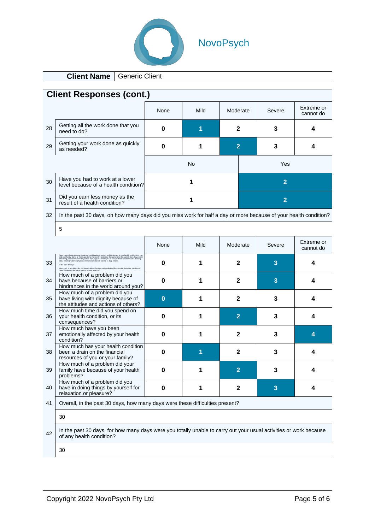

# NovoPsych

**Client Name** Generic Client

| <b>Client Responses (cont.)</b> |                                                                                                                                                                                                                                                                         |          |      |                |                |                         |
|---------------------------------|-------------------------------------------------------------------------------------------------------------------------------------------------------------------------------------------------------------------------------------------------------------------------|----------|------|----------------|----------------|-------------------------|
|                                 |                                                                                                                                                                                                                                                                         | None     | Mild | Moderate       | Severe         | Extreme or<br>cannot do |
| 28                              | Getting all the work done that you<br>need to do?                                                                                                                                                                                                                       | 0        | 1    | $\mathbf{2}$   | 3              | 4                       |
| 29                              | Getting your work done as quickly<br>as needed?                                                                                                                                                                                                                         | 0        | 1    | $\overline{2}$ | 3              | 4                       |
|                                 |                                                                                                                                                                                                                                                                         |          | No   |                | Yes            |                         |
| 30                              | Have you had to work at a lower<br>level because of a health condition?                                                                                                                                                                                                 |          | 1    |                | $\overline{2}$ |                         |
| 31                              | Did you earn less money as the<br>result of a health condition?                                                                                                                                                                                                         |          | 1    |                | $\overline{2}$ |                         |
| 32                              | In the past 30 days, on how many days did you miss work for half a day or more because of your health condition?                                                                                                                                                        |          |      |                |                |                         |
|                                 | 5                                                                                                                                                                                                                                                                       |          |      |                |                |                         |
|                                 |                                                                                                                                                                                                                                                                         | None     | Mild | Moderate       | Severe         | Extreme or<br>cannot do |
| 33                              | oing to ask you about your participation in society and<br>mly. Some of these questions may involve problems th<br>please focus on the past 30 days. Again, I remind you t<br>a did you have in joining in community activities (for example, festivities, religious or | 0        | 1    | $\mathbf{2}$   | 3              | 4                       |
| 34                              | How much of a problem did you<br>have because of barriers or<br>hindrances in the world around you?                                                                                                                                                                     | 0        | 1    | $\mathbf{2}$   | 3              | 4                       |
| 35                              | How much of a problem did you<br>have living with dignity because of<br>the attitudes and actions of others?                                                                                                                                                            | $\bf{0}$ | 1    | $\mathbf{2}$   | 3              | 4                       |
| 36                              | How much time did you spend on<br>your health condition, or its<br>consequences?                                                                                                                                                                                        | 0        | 1    | $\overline{2}$ | 3              | 4                       |
| 37                              | How much have you been<br>emotionally affected by your health<br>condition?                                                                                                                                                                                             | 0        | 1    | $\mathbf{2}$   | 3              | 4                       |
| 38                              | How much has your health condition<br>been a drain on the financial<br>resources of you or your family?                                                                                                                                                                 | 0        | 1    | $\mathbf{2}$   | 3              | 4                       |
| 39                              | How much of a problem did your<br>family have because of your health<br>problems?                                                                                                                                                                                       | 0        | 1    | 2              | 3              | 4                       |
| 40                              | How much of a problem did you<br>have in doing things by yourself for<br>relaxation or pleasure?                                                                                                                                                                        | 0        | 1    | $\mathbf 2$    | 3              | 4                       |
| 41                              | Overall, in the past 30 days, how many days were these difficulties present?                                                                                                                                                                                            |          |      |                |                |                         |
|                                 | 30                                                                                                                                                                                                                                                                      |          |      |                |                |                         |
| 42                              | In the past 30 days, for how many days were you totally unable to carry out your usual activities or work because<br>of any health condition?                                                                                                                           |          |      |                |                |                         |
|                                 | 30                                                                                                                                                                                                                                                                      |          |      |                |                |                         |